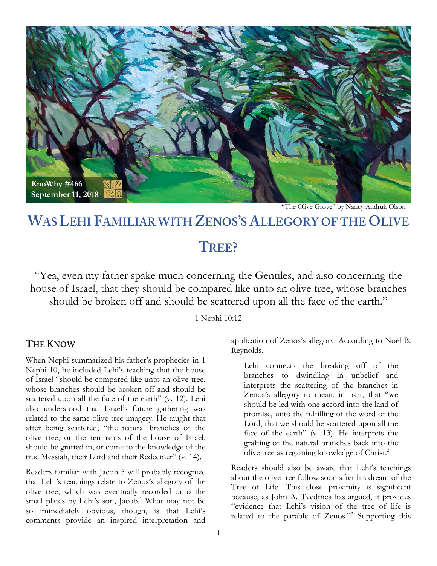

"The Olive Grove" by Nancy Andruk Olson

# **WAS LEHI FAMILIAR WITH ZENOS'S ALLEGORY OF THE OLIVE**

## **TREE?**

"Yea, even my father spake much concerning the Gentiles, and also concerning the house of Israel, that they should be compared like unto an olive tree, whose branches should be broken off and should be scattered upon all the face of the earth."

#### 1 Nephi 10:12

#### **THE KNOW**

When Nephi summarized his father's prophecies in 1 Nephi 10, he included Lehi's teaching that the house of Israel "should be compared like unto an olive tree, whose branches should be broken off and should be scattered upon all the face of the earth" (v. 12). Lehi also understood that Israel's future gathering was related to the same olive tree imagery. He taught that after being scattered, "the natural branches of the olive tree, or the remnants of the house of Israel, should be grafted in, or come to the knowledge of the true Messiah, their Lord and their Redeemer" (v. 14).

Readers familiar with Jacob 5 will probably recognize that Lehi's teachings relate to Zenos's allegory of the olive tree, which was eventually recorded onto the small plates by Lehi's son, Jacob.<sup>1</sup> What may not be so immediately obvious, though, is that Lehi's comments provide an inspired interpretation and application of Zenos's allegory. According to Noel B. Reynolds,

Lehi connects the breaking off of the branches to dwindling in unbelief and interprets the scattering of the branches in Zenos's allegory to mean, in part, that "we should be led with one accord into the land of promise, unto the fulfilling of the word of the Lord, that we should be scattered upon all the face of the earth" (v. 13). He interprets the grafting of the natural branches back into the olive tree as regaining knowledge of Christ.2

Readers should also be aware that Lehi's teachings about the olive tree follow soon after his dream of the Tree of Life. This close proximity is significant because, as John A. Tvedtnes has argued, it provides "evidence that Lehi's vision of the tree of life is related to the parable of Zenos."3 Supporting this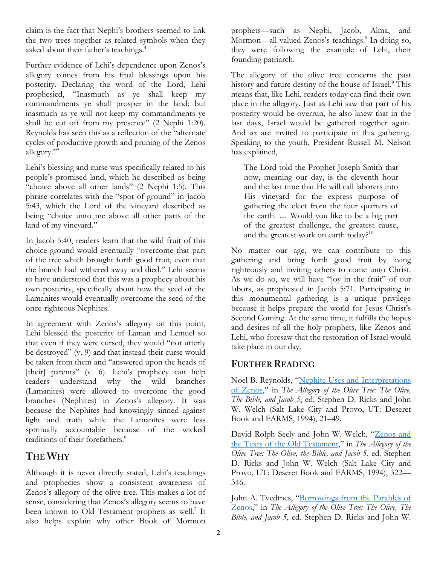claim is the fact that Nephi's brothers seemed to link the two trees together as related symbols when they asked about their father's teachings.4

Further evidence of Lehi's dependence upon Zenos's allegory comes from his final blessings upon his posterity. Declaring the word of the Lord, Lehi prophesied, "Inasmuch as ye shall keep my commandments ye shall prosper in the land; but inasmuch as ye will not keep my commandments ye shall be cut off from my presence" (2 Nephi 1:20). Reynolds has seen this as a reflection of the "alternate cycles of productive growth and pruning of the Zenos allegory."5

Lehi's blessing and curse was specifically related to his people's promised land, which he described as being "choice above all other lands" (2 Nephi 1:5). This phrase correlates with the "spot of ground" in Jacob 5:43, which the Lord of the vineyard described as being "choice unto me above all other parts of the land of my vineyard."

In Jacob 5:40, readers learn that the wild fruit of this choice ground would eventually "overcome that part of the tree which brought forth good fruit, even that the branch had withered away and died." Lehi seems to have understood that this was a prophecy about his own posterity, specifically about how the seed of the Lamanites would eventually overcome the seed of the once-righteous Nephites.

In agreement with Zenos's allegory on this point, Lehi blessed the posterity of Laman and Lemuel so that even if they were cursed, they would "not utterly be destroyed" (v. 9) and that instead their curse would be taken from them and "answered upon the heads of [their] parents" (v. 6). Lehi's prophecy can help readers understand why the wild branches (Lamanites) were allowed to overcome the good branches (Nephites) in Zenos's allegory. It was because the Nephites had knowingly sinned against light and truth while the Lamanites were less spiritually accountable because of the wicked traditions of their forefathers.<sup>6</sup>

### **THE WHY**

Although it is never directly stated, Lehi's teachings and prophecies show a consistent awareness of Zenos's allegory of the olive tree. This makes a lot of sense, considering that Zenos's allegory seems to have been known to Old Testament prophets as well.<sup>7</sup> It also helps explain why other Book of Mormon

prophets—such as Nephi, Jacob, Alma, and Mormon—all valued Zenos's teachings.<sup>8</sup> In doing so, they were following the example of Lehi, their founding patriarch.

The allegory of the olive tree concerns the past history and future destiny of the house of Israel.<sup>9</sup> This means that, like Lehi, readers today can find their own place in the allegory. Just as Lehi saw that part of his posterity would be overrun, he also knew that in the last days, Israel would be gathered together again. And *we* are invited to participate in this gathering. Speaking to the youth, President Russell M. Nelson has explained,

The Lord told the Prophet Joseph Smith that now, meaning our day, is the eleventh hour and the last time that He will call laborers into His vineyard for the express purpose of gathering the elect from the four quarters of the earth. … Would you like to be a big part of the greatest challenge, the greatest cause, and the greatest work on earth today?<sup>10</sup>

No matter our age, we can contribute to this gathering and bring forth good fruit by living righteously and inviting others to come unto Christ. As we do so, we will have "joy in the fruit" of our labors, as prophesied in Jacob 5:71. Participating in this monumental gathering is a unique privilege because it helps prepare the world for Jesus Christ's Second Coming. At the same time, it fulfills the hopes and desires of all the holy prophets, like Zenos and Lehi, who foresaw that the restoration of Israel would take place in our day.

#### **FURTHER READING**

Noel B. Reynolds, ["Nephite Uses and Interpretations](https://archive.bookofmormoncentral.org/content/nephite-uses-and-interpretations-zenos)  [of Zenos,](https://archive.bookofmormoncentral.org/content/nephite-uses-and-interpretations-zenos)" in *The Allegory of the Olive Tree: The Olive, The Bible, and Jacob 5*, ed. Stephen D. Ricks and John W. Welch (Salt Lake City and Provo, UT: Deseret Book and FARMS, 1994), 21–49.

David Rolph Seely and John W. Welch, ["Zenos and](http://publications.mi.byu.edu/fullscreen/?pub=1140&index=15)  [the Texts of the Old Testament,](http://publications.mi.byu.edu/fullscreen/?pub=1140&index=15)" in *The Allegory of the Olive Tree: The Olive, the Bible, and Jacob 5*, ed. Stephen D. Ricks and John W. Welch (Salt Lake City and Provo, UT: Deseret Book and FARMS, 1994), 322— 346.

John A. Tvedtnes, "Borrowings from the Parables of [Zenos,](https://archive.bookofmormoncentral.org/content/borrowings-parable-zenos)" in *The Allegory of the Olive Tree: The Olive, The Bible, and Jacob 5*, ed. Stephen D. Ricks and John W.